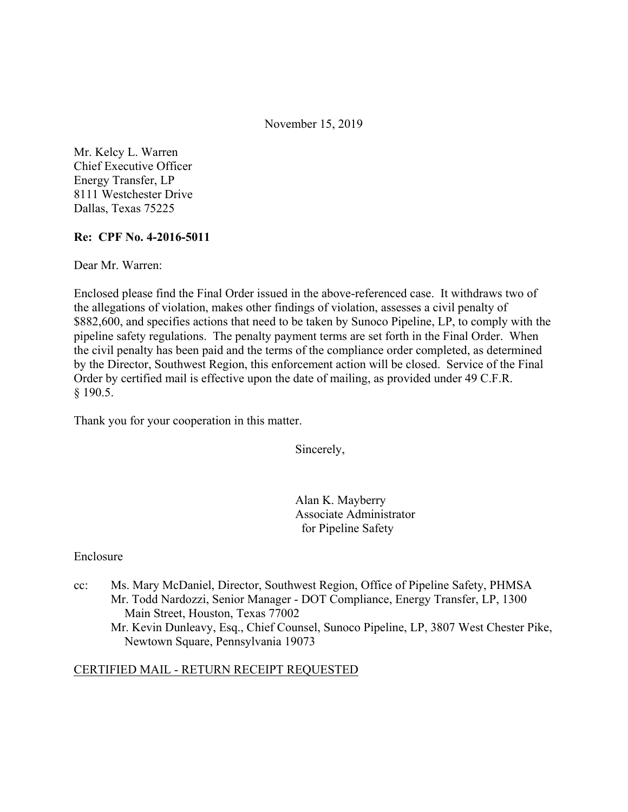November 15, 2019

Mr. Kelcy L. Warren Chief Executive Officer Energy Transfer, LP 8111 Westchester Drive Dallas, Texas 75225

### **Re: CPF No. 4-2016-5011**

Dear Mr. Warren:

Enclosed please find the Final Order issued in the above-referenced case. It withdraws two of the allegations of violation, makes other findings of violation, assesses a civil penalty of \$882,600, and specifies actions that need to be taken by Sunoco Pipeline, LP, to comply with the pipeline safety regulations. The penalty payment terms are set forth in the Final Order. When the civil penalty has been paid and the terms of the compliance order completed, as determined by the Director, Southwest Region, this enforcement action will be closed. Service of the Final Order by certified mail is effective upon the date of mailing, as provided under 49 C.F.R. § 190.5.

Thank you for your cooperation in this matter.

Sincerely,

Alan K. Mayberry Associate Administrator for Pipeline Safety

### Enclosure

cc: Ms. Mary McDaniel, Director, Southwest Region, Office of Pipeline Safety, PHMSA Mr. Todd Nardozzi, Senior Manager - DOT Compliance, Energy Transfer, LP, 1300 Main Street, Houston, Texas 77002 Mr. Kevin Dunleavy, Esq., Chief Counsel, Sunoco Pipeline, LP, 3807 West Chester Pike, Newtown Square, Pennsylvania 19073

### CERTIFIED MAIL - RETURN RECEIPT REQUESTED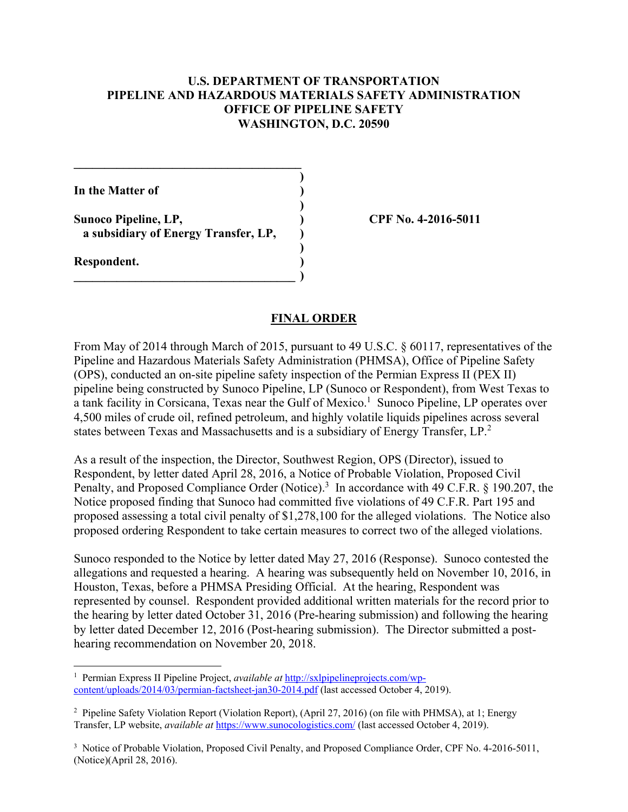### **U.S. DEPARTMENT OF TRANSPORTATION PIPELINE AND HAZARDOUS MATERIALS SAFETY ADMINISTRATION OFFICE OF PIPELINE SAFETY WASHINGTON, D.C. 20590**

**)** 

**)** 

**In the Matter of )** 

Sunoco Pipeline, LP, 2016-5011 **a subsidiary of Energy Transfer, LP, )**

 **)** 

 $\overline{\phantom{a}}$ 

**\_\_\_\_\_\_\_\_\_\_\_\_\_\_\_\_\_\_\_\_\_\_\_\_\_\_\_\_\_\_\_\_\_\_\_\_\_** 

**Respondent. )** 

<u>.</u>

#### **FINAL ORDER**

From May of 2014 through March of 2015, pursuant to 49 U.S.C. § 60117, representatives of the Pipeline and Hazardous Materials Safety Administration (PHMSA), Office of Pipeline Safety (OPS), conducted an on-site pipeline safety inspection of the Permian Express II (PEX II) pipeline being constructed by Sunoco Pipeline, LP (Sunoco or Respondent), from West Texas to a tank facility in Corsicana, Texas near the Gulf of Mexico.<sup>1</sup> Sunoco Pipeline, LP operates over 4,500 miles of crude oil, refined petroleum, and highly volatile liquids pipelines across several states between Texas and Massachusetts and is a subsidiary of Energy Transfer, LP.<sup>2</sup>

As a result of the inspection, the Director, Southwest Region, OPS (Director), issued to Respondent, by letter dated April 28, 2016, a Notice of Probable Violation, Proposed Civil Penalty, and Proposed Compliance Order (Notice).<sup>3</sup> In accordance with 49 C.F.R. § 190.207, the Notice proposed finding that Sunoco had committed five violations of 49 C.F.R. Part 195 and proposed assessing a total civil penalty of \$1,278,100 for the alleged violations. The Notice also proposed ordering Respondent to take certain measures to correct two of the alleged violations.

Sunoco responded to the Notice by letter dated May 27, 2016 (Response). Sunoco contested the allegations and requested a hearing. A hearing was subsequently held on November 10, 2016, in Houston, Texas, before a PHMSA Presiding Official. At the hearing, Respondent was represented by counsel. Respondent provided additional written materials for the record prior to the hearing by letter dated October 31, 2016 (Pre-hearing submission) and following the hearing by letter dated December 12, 2016 (Post-hearing submission). The Director submitted a posthearing recommendation on November 20, 2018.

<sup>&</sup>lt;sup>1</sup> Permian Express II Pipeline Project, *available at* <http://sxlpipelineprojects.com/wp>content/uploads/2014/03/permian-factsheet-jan30-2014.pdf (last accessed October 4, 2019).

<sup>&</sup>lt;sup>2</sup> Pipeline Safety Violation Report (Violation Report), (April 27, 2016) (on file with PHMSA), at 1; Energy Transfer, LP website, *available at* [https://www.sunocologistics.com/](https://www.sunocologistics.com) (last accessed October 4, 2019).

<sup>&</sup>lt;sup>3</sup> Notice of Probable Violation, Proposed Civil Penalty, and Proposed Compliance Order, CPF No. 4-2016-5011, (Notice)(April 28, 2016).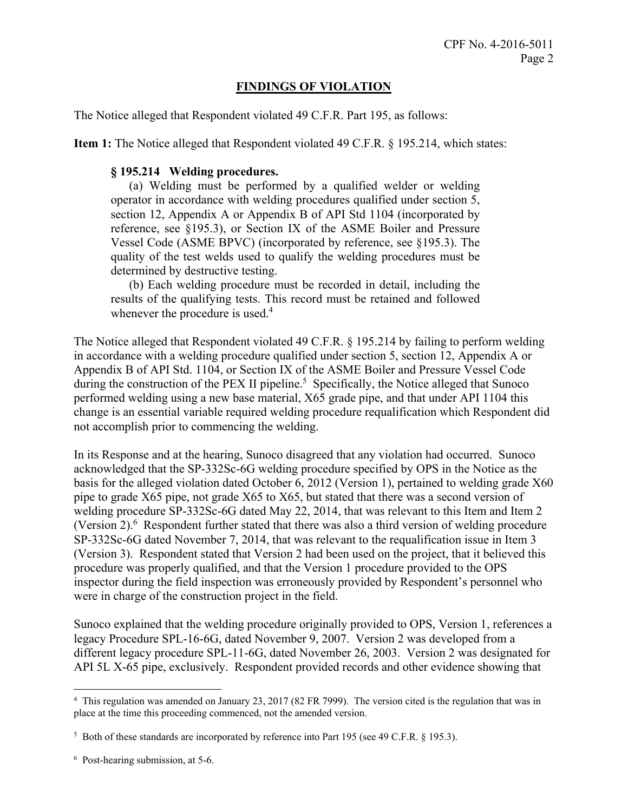## **FINDINGS OF VIOLATION**

The Notice alleged that Respondent violated 49 C.F.R. Part 195, as follows:

**Item 1:** The Notice alleged that Respondent violated 49 C.F.R. § 195.214, which states:

### **§ 195.214 Welding procedures.**

(a) Welding must be performed by a qualified welder or welding operator in accordance with welding procedures qualified under section 5, section 12, Appendix A or Appendix B of API Std 1104 (incorporated by reference, see §195.3), or Section IX of the ASME Boiler and Pressure Vessel Code (ASME BPVC) (incorporated by reference, see §195.3). The quality of the test welds used to qualify the welding procedures must be determined by destructive testing.

(b) Each welding procedure must be recorded in detail, including the results of the qualifying tests. This record must be retained and followed whenever the procedure is used.<sup>4</sup>

The Notice alleged that Respondent violated 49 C.F.R. § 195.214 by failing to perform welding in accordance with a welding procedure qualified under section 5, section 12, Appendix A or Appendix B of API Std. 1104, or Section IX of the ASME Boiler and Pressure Vessel Code during the construction of the PEX II pipeline.<sup>5</sup> Specifically, the Notice alleged that Sunoco performed welding using a new base material, X65 grade pipe, and that under API 1104 this change is an essential variable required welding procedure requalification which Respondent did not accomplish prior to commencing the welding.

In its Response and at the hearing, Sunoco disagreed that any violation had occurred. Sunoco acknowledged that the SP-332Sc-6G welding procedure specified by OPS in the Notice as the basis for the alleged violation dated October 6, 2012 (Version 1), pertained to welding grade X60 pipe to grade X65 pipe, not grade X65 to X65, but stated that there was a second version of welding procedure SP-332Sc-6G dated May 22, 2014, that was relevant to this Item and Item 2 (Version 2). $6$  Respondent further stated that there was also a third version of welding procedure SP-332Sc-6G dated November 7, 2014, that was relevant to the requalification issue in Item 3 (Version 3). Respondent stated that Version 2 had been used on the project, that it believed this procedure was properly qualified, and that the Version 1 procedure provided to the OPS inspector during the field inspection was erroneously provided by Respondent's personnel who were in charge of the construction project in the field.

Sunoco explained that the welding procedure originally provided to OPS, Version 1, references a legacy Procedure SPL-16-6G, dated November 9, 2007. Version 2 was developed from a different legacy procedure SPL-11-6G, dated November 26, 2003. Version 2 was designated for API 5L X-65 pipe, exclusively. Respondent provided records and other evidence showing that

 4 This regulation was amended on January 23, 2017 (82 FR 7999). The version cited is the regulation that was in place at the time this proceeding commenced, not the amended version.

<sup>&</sup>lt;sup>5</sup> Both of these standards are incorporated by reference into Part 195 (see 49 C.F.R. § 195.3).

 6 Post-hearing submission, at 5-6.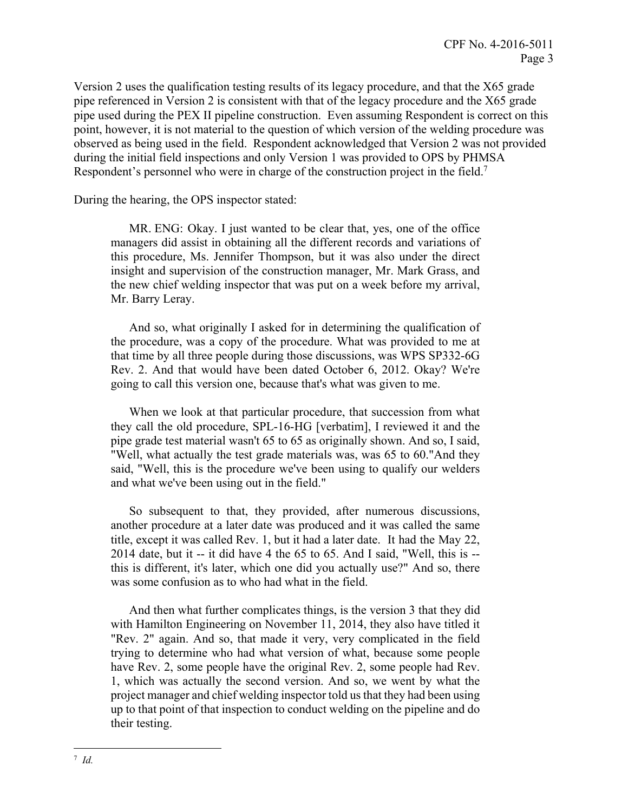Version 2 uses the qualification testing results of its legacy procedure, and that the X65 grade pipe referenced in Version 2 is consistent with that of the legacy procedure and the X65 grade pipe used during the PEX II pipeline construction. Even assuming Respondent is correct on this point, however, it is not material to the question of which version of the welding procedure was observed as being used in the field. Respondent acknowledged that Version 2 was not provided during the initial field inspections and only Version 1 was provided to OPS by PHMSA Respondent's personnel who were in charge of the construction project in the field.<sup>7</sup>

During the hearing, the OPS inspector stated:

 MR. ENG: Okay. I just wanted to be clear that, yes, one of the office managers did assist in obtaining all the different records and variations of this procedure, Ms. Jennifer Thompson, but it was also under the direct insight and supervision of the construction manager, Mr. Mark Grass, and the new chief welding inspector that was put on a week before my arrival, Mr. Barry Leray.

And so, what originally I asked for in determining the qualification of the procedure, was a copy of the procedure. What was provided to me at that time by all three people during those discussions, was WPS SP332-6G Rev. 2. And that would have been dated October 6, 2012. Okay? We're going to call this version one, because that's what was given to me.

When we look at that particular procedure, that succession from what they call the old procedure, SPL-16-HG [verbatim], I reviewed it and the pipe grade test material wasn't 65 to 65 as originally shown. And so, I said, "Well, what actually the test grade materials was, was 65 to 60."And they said, "Well, this is the procedure we've been using to qualify our welders and what we've been using out in the field."

So subsequent to that, they provided, after numerous discussions, another procedure at a later date was produced and it was called the same title, except it was called Rev. 1, but it had a later date. It had the May 22, 2014 date, but it -- it did have 4 the 65 to 65. And I said, "Well, this is - this is different, it's later, which one did you actually use?" And so, there was some confusion as to who had what in the field.

And then what further complicates things, is the version 3 that they did with Hamilton Engineering on November 11, 2014, they also have titled it "Rev. 2" again. And so, that made it very, very complicated in the field trying to determine who had what version of what, because some people have Rev. 2, some people have the original Rev. 2, some people had Rev. 1, which was actually the second version. And so, we went by what the project manager and chief welding inspector told us that they had been using up to that point of that inspection to conduct welding on the pipeline and do their testing.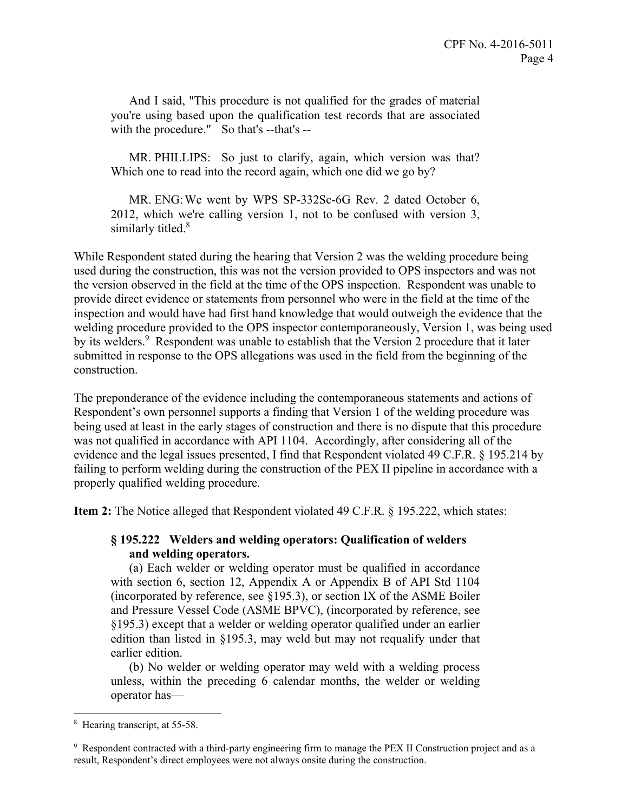And I said, "This procedure is not qualified for the grades of material you're using based upon the qualification test records that are associated with the procedure." So that's --that's --

MR. PHILLIPS: So just to clarify, again, which version was that? Which one to read into the record again, which one did we go by?

MR. ENG:We went by WPS SP-332Sc-6G Rev. 2 dated October 6, 2012, which we're calling version 1, not to be confused with version 3, similarly titled.<sup>8</sup>

While Respondent stated during the hearing that Version 2 was the welding procedure being used during the construction, this was not the version provided to OPS inspectors and was not the version observed in the field at the time of the OPS inspection. Respondent was unable to provide direct evidence or statements from personnel who were in the field at the time of the inspection and would have had first hand knowledge that would outweigh the evidence that the welding procedure provided to the OPS inspector contemporaneously, Version 1, was being used by its welders.<sup>9</sup> Respondent was unable to establish that the Version 2 procedure that it later submitted in response to the OPS allegations was used in the field from the beginning of the construction.

The preponderance of the evidence including the contemporaneous statements and actions of Respondent's own personnel supports a finding that Version 1 of the welding procedure was being used at least in the early stages of construction and there is no dispute that this procedure was not qualified in accordance with API 1104. Accordingly, after considering all of the evidence and the legal issues presented, I find that Respondent violated 49 C.F.R. § 195.214 by failing to perform welding during the construction of the PEX II pipeline in accordance with a properly qualified welding procedure.

**Item 2:** The Notice alleged that Respondent violated 49 C.F.R. § 195.222, which states:

### **§ 195.222 Welders and welding operators: Qualification of welders and welding operators.**

(a) Each welder or welding operator must be qualified in accordance with section 6, section 12, Appendix A or Appendix B of API Std 1104 (incorporated by reference, see  $\S 195.3$ ), or section IX of the ASME Boiler and Pressure Vessel Code (ASME BPVC), (incorporated by reference, see §195.3) except that a welder or welding operator qualified under an earlier edition than listed in §195.3, may weld but may not requalify under that earlier edition.

(b) No welder or welding operator may weld with a welding process unless, within the preceding 6 calendar months, the welder or welding operator has—

<sup>8</sup> Hearing transcript, at 55-58.

<sup>9</sup> Respondent contracted with a third-party engineering firm to manage the PEX II Construction project and as a result, Respondent's direct employees were not always onsite during the construction.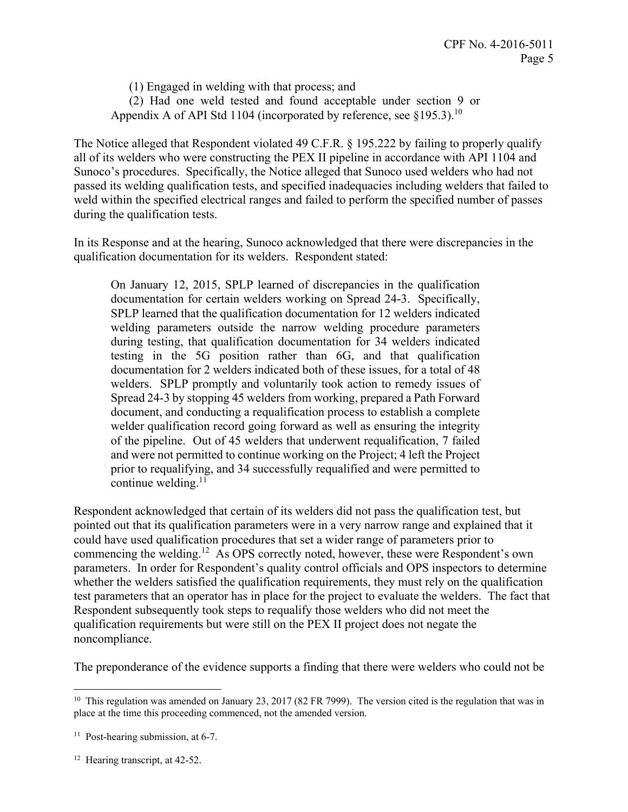(1) Engaged in welding with that process; and (2) Had one weld tested and found acceptable under section 9 or Appendix A of API Std 1104 (incorporated by reference, see  $§195.3$ ).<sup>10</sup>

The Notice alleged that Respondent violated 49 C.F.R. § 195.222 by failing to properly qualify all of its welders who were constructing the PEX II pipeline in accordance with API 1104 and Sunoco's procedures. Specifically, the Notice alleged that Sunoco used welders who had not passed its welding qualification tests, and specified inadequacies including welders that failed to weld within the specified electrical ranges and failed to perform the specified number of passes during the qualification tests.

In its Response and at the hearing, Sunoco acknowledged that there were discrepancies in the qualification documentation for its welders. Respondent stated:

On January 12, 2015, SPLP learned of discrepancies in the qualification documentation for certain welders working on Spread 24-3. Specifically, SPLP learned that the qualification documentation for 12 welders indicated welding parameters outside the narrow welding procedure parameters during testing, that qualification documentation for 34 welders indicated testing in the 5G position rather than 6G, and that qualification documentation for 2 welders indicated both of these issues, for a total of 48 welders. SPLP promptly and voluntarily took action to remedy issues of Spread 24-3 by stopping 45 welders from working, prepared a Path Forward document, and conducting a requalification process to establish a complete welder qualification record going forward as well as ensuring the integrity of the pipeline. Out of 45 welders that underwent requalification, 7 failed and were not permitted to continue working on the Project; 4 left the Project prior to requalifying, and 34 successfully requalified and were permitted to continue welding. $11$ 

Respondent acknowledged that certain of its welders did not pass the qualification test, but pointed out that its qualification parameters were in a very narrow range and explained that it could have used qualification procedures that set a wider range of parameters prior to commencing the [welding.12](https://welding.12) As OPS correctly noted, however, these were Respondent's own parameters. In order for Respondent's quality control officials and OPS inspectors to determine whether the welders satisfied the qualification requirements, they must rely on the qualification test parameters that an operator has in place for the project to evaluate the welders. The fact that Respondent subsequently took steps to requalify those welders who did not meet the qualification requirements but were still on the PEX II project does not negate the noncompliance.

The preponderance of the evidence supports a finding that there were welders who could not be

1

 $10$  This regulation was amended on January 23, 2017 (82 FR 7999). The version cited is the regulation that was in place at the time this proceeding commenced, not the amended version.

<sup>&</sup>lt;sup>11</sup> Post-hearing submission, at 6-7.

<sup>&</sup>lt;sup>12</sup> Hearing transcript, at 42-52.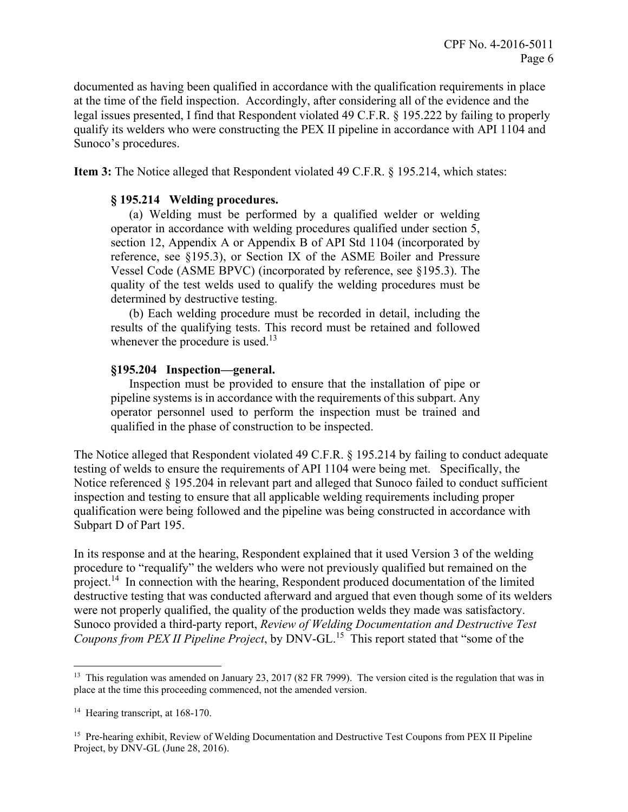documented as having been qualified in accordance with the qualification requirements in place at the time of the field inspection. Accordingly, after considering all of the evidence and the legal issues presented, I find that Respondent violated 49 C.F.R. § 195.222 by failing to properly qualify its welders who were constructing the PEX II pipeline in accordance with API 1104 and Sunoco's procedures.

**Item 3:** The Notice alleged that Respondent violated 49 C.F.R. § 195.214, which states:

#### **§ 195.214 Welding procedures.**

(a) Welding must be performed by a qualified welder or welding operator in accordance with welding procedures qualified under section 5, section 12, Appendix A or Appendix B of API Std 1104 (incorporated by reference, see §195.3), or Section IX of the ASME Boiler and Pressure Vessel Code (ASME BPVC) (incorporated by reference, see §195.3). The quality of the test welds used to qualify the welding procedures must be determined by destructive testing.

(b) Each welding procedure must be recorded in detail, including the results of the qualifying tests. This record must be retained and followed whenever the procedure is used.<sup>13</sup>

#### **§195.204 Inspection—general.**

Inspection must be provided to ensure that the installation of pipe or pipeline systems is in accordance with the requirements of this subpart. Any operator personnel used to perform the inspection must be trained and qualified in the phase of construction to be inspected.

The Notice alleged that Respondent violated 49 C.F.R. § 195.214 by failing to conduct adequate testing of welds to ensure the requirements of API 1104 were being met. Specifically, the Notice referenced § 195.204 in relevant part and alleged that Sunoco failed to conduct sufficient inspection and testing to ensure that all applicable welding requirements including proper qualification were being followed and the pipeline was being constructed in accordance with Subpart D of Part 195.

In its response and at the hearing, Respondent explained that it used Version 3 of the welding procedure to "requalify" the welders who were not previously qualified but remained on the project.<sup>14</sup> In connection with the hearing, Respondent produced documentation of the limited destructive testing that was conducted afterward and argued that even though some of its welders were not properly qualified, the quality of the production welds they made was satisfactory. Sunoco provided a third-party report, *Review of Welding Documentation and Destructive Test Coupons from PEX II Pipeline Project*, by [DNV-GL.](https://DNV-GL.15)15 This report stated that "some of the

<sup>&</sup>lt;sup>13</sup> This regulation was amended on January 23, 2017 (82 FR 7999). The version cited is the regulation that was in place at the time this proceeding commenced, not the amended version.

<sup>&</sup>lt;sup>14</sup> Hearing transcript, at 168-170.

<sup>&</sup>lt;sup>15</sup> Pre-hearing exhibit, Review of Welding Documentation and Destructive Test Coupons from PEX II Pipeline Project, by DNV-GL (June 28, 2016).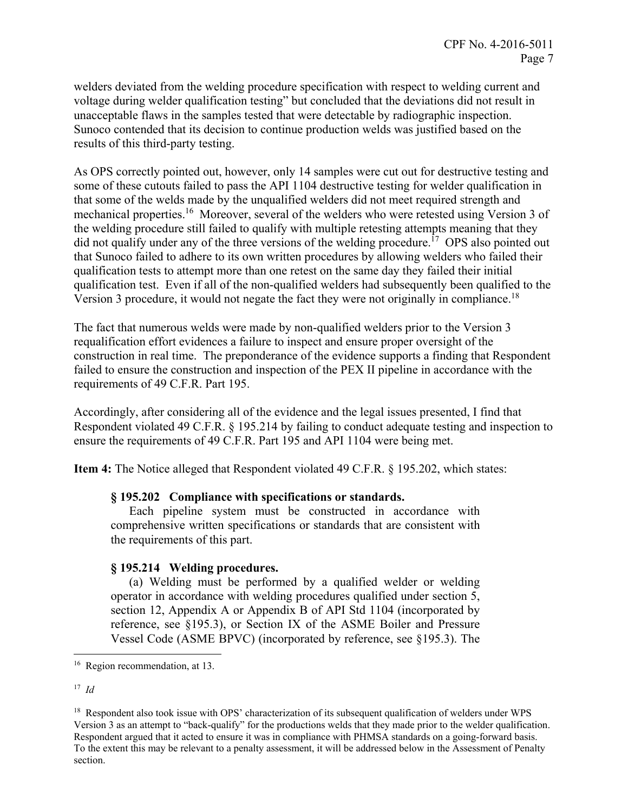welders deviated from the welding procedure specification with respect to welding current and voltage during welder qualification testing" but concluded that the deviations did not result in unacceptable flaws in the samples tested that were detectable by radiographic inspection. Sunoco contended that its decision to continue production welds was justified based on the results of this third-party testing.

Version 3 procedure, it would not negate the fact they were not originally in compliance.<sup>18</sup> As OPS correctly pointed out, however, only 14 samples were cut out for destructive testing and some of these cutouts failed to pass the API 1104 destructive testing for welder qualification in that some of the welds made by the unqualified welders did not meet required strength and mechanical properties.<sup>16</sup> Moreover, several of the welders who were retested using Version 3 of the welding procedure still failed to qualify with multiple retesting attempts meaning that they did not qualify under any of the three versions of the welding procedure.<sup>17</sup> OPS also pointed out that Sunoco failed to adhere to its own written procedures by allowing welders who failed their qualification tests to attempt more than one retest on the same day they failed their initial qualification test. Even if all of the non-qualified welders had subsequently been qualified to the

The fact that numerous welds were made by non-qualified welders prior to the Version 3 requalification effort evidences a failure to inspect and ensure proper oversight of the construction in real time. The preponderance of the evidence supports a finding that Respondent failed to ensure the construction and inspection of the PEX II pipeline in accordance with the requirements of 49 C.F.R. Part 195.

Accordingly, after considering all of the evidence and the legal issues presented, I find that Respondent violated 49 C.F.R. § 195.214 by failing to conduct adequate testing and inspection to ensure the requirements of 49 C.F.R. Part 195 and API 1104 were being met.

**Item 4:** The Notice alleged that Respondent violated 49 C.F.R. § 195.202, which states:

#### **§ 195.202 Compliance with specifications or standards.**

Each pipeline system must be constructed in accordance with comprehensive written specifications or standards that are consistent with the requirements of this part.

### **§ 195.214 Welding procedures.**

(a) Welding must be performed by a qualified welder or welding operator in accordance with welding procedures qualified under section 5, section 12, Appendix A or Appendix B of API Std 1104 (incorporated by reference, see §195.3), or Section IX of the ASME Boiler and Pressure Vessel Code (ASME BPVC) (incorporated by reference, see §195.3). The

<sup>17</sup>*Id* 

1

<sup>&</sup>lt;sup>16</sup> Region recommendation, at 13.

Version 3 as an attempt to "back-qualify" for the productions welds that they made prior to the welder qualification. section. <sup>18</sup> Respondent also took issue with OPS' characterization of its subsequent qualification of welders under WPS Respondent argued that it acted to ensure it was in compliance with PHMSA standards on a going-forward basis. To the extent this may be relevant to a penalty assessment, it will be addressed below in the Assessment of Penalty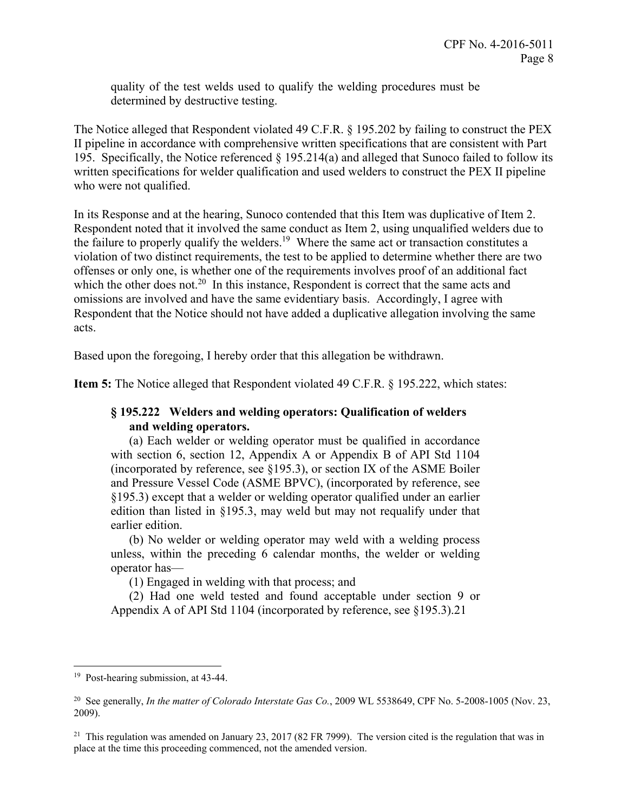quality of the test welds used to qualify the welding procedures must be determined by destructive testing.

The Notice alleged that Respondent violated 49 C.F.R. § 195.202 by failing to construct the PEX II pipeline in accordance with comprehensive written specifications that are consistent with Part 195. Specifically, the Notice referenced § 195.214(a) and alleged that Sunoco failed to follow its written specifications for welder qualification and used welders to construct the PEX II pipeline who were not qualified.

In its Response and at the hearing, Sunoco contended that this Item was duplicative of Item 2. Respondent noted that it involved the same conduct as Item 2, using unqualified welders due to the failure to properly qualify the welders.<sup>19</sup> Where the same act or transaction constitutes a violation of two distinct requirements, the test to be applied to determine whether there are two offenses or only one, is whether one of the requirements involves proof of an additional fact which the other does not.<sup>20</sup> In this instance, Respondent is correct that the same acts and omissions are involved and have the same evidentiary basis. Accordingly, I agree with Respondent that the Notice should not have added a duplicative allegation involving the same acts.

Based upon the foregoing, I hereby order that this allegation be withdrawn.

**Item 5:** The Notice alleged that Respondent violated 49 C.F.R. § 195.222, which states:

# **§ 195.222 Welders and welding operators: Qualification of welders and welding operators.**

(a) Each welder or welding operator must be qualified in accordance with section 6, section 12, Appendix A or Appendix B of API Std 1104 (incorporated by reference, see  $\S 195.3$ ), or section IX of the ASME Boiler and Pressure Vessel Code (ASME BPVC), (incorporated by reference, see §195.3) except that a welder or welding operator qualified under an earlier edition than listed in §195.3, may weld but may not requalify under that earlier edition.

(b) No welder or welding operator may weld with a welding process unless, within the preceding 6 calendar months, the welder or welding operator has—

(1) Engaged in welding with that process; and

(2) Had one weld tested and found acceptable under section 9 or Appendix A of API Std 1104 (incorporated by reference, see §[195.3\).21](https://195.3).21) 

<u>.</u>

<sup>&</sup>lt;sup>19</sup> Post-hearing submission, at 43-44.

<sup>&</sup>lt;sup>20</sup> See generally, *In the matter of Colorado Interstate Gas Co.*, 2009 WL 5538649, CPF No. 5-2008-1005 (Nov. 23, 2009).

<sup>&</sup>lt;sup>21</sup> This regulation was amended on January 23, 2017 (82 FR 7999). The version cited is the regulation that was in place at the time this proceeding commenced, not the amended version.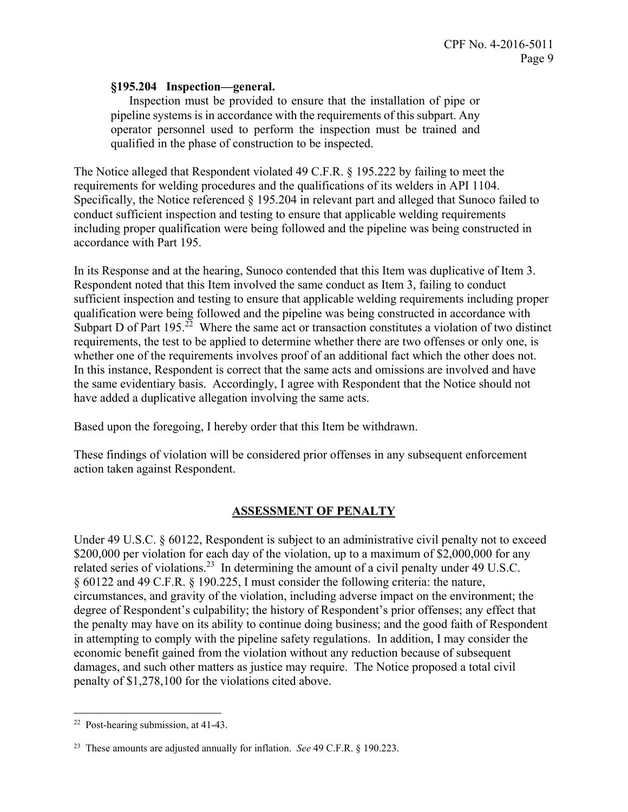### **§195.204 Inspection—general.**

Inspection must be provided to ensure that the installation of pipe or pipeline systems is in accordance with the requirements of this subpart. Any operator personnel used to perform the inspection must be trained and qualified in the phase of construction to be inspected.

The Notice alleged that Respondent violated 49 C.F.R. § 195.222 by failing to meet the requirements for welding procedures and the qualifications of its welders in API 1104. Specifically, the Notice referenced § 195.204 in relevant part and alleged that Sunoco failed to conduct sufficient inspection and testing to ensure that applicable welding requirements including proper qualification were being followed and the pipeline was being constructed in accordance with Part 195.

In its Response and at the hearing, Sunoco contended that this Item was duplicative of Item 3. Respondent noted that this Item involved the same conduct as Item 3, failing to conduct sufficient inspection and testing to ensure that applicable welding requirements including proper qualification were being followed and the pipeline was being constructed in accordance with Subpart D of Part  $195<sup>22</sup>$  Where the same act or transaction constitutes a violation of two distinct requirements, the test to be applied to determine whether there are two offenses or only one, is whether one of the requirements involves proof of an additional fact which the other does not. In this instance, Respondent is correct that the same acts and omissions are involved and have the same evidentiary basis. Accordingly, I agree with Respondent that the Notice should not have added a duplicative allegation involving the same acts.

Based upon the foregoing, I hereby order that this Item be withdrawn.

These findings of violation will be considered prior offenses in any subsequent enforcement action taken against Respondent.

## **ASSESSMENT OF PENALTY**

Under 49 U.S.C. § 60122, Respondent is subject to an administrative civil penalty not to exceed \$200,000 per violation for each day of the violation, up to a maximum of \$2,000,000 for any related series of violations.<sup>23</sup> In determining the amount of a civil penalty under 49 U.S.C. § 60122 and 49 C.F.R. § 190.225, I must consider the following criteria: the nature, circumstances, and gravity of the violation, including adverse impact on the environment; the degree of Respondent's culpability; the history of Respondent's prior offenses; any effect that the penalty may have on its ability to continue doing business; and the good faith of Respondent in attempting to comply with the pipeline safety regulations. In addition, I may consider the economic benefit gained from the violation without any reduction because of subsequent damages, and such other matters as justice may require. The Notice proposed a total civil penalty of \$1,278,100 for the violations cited above.

 $\overline{a}$ 22 Post-hearing submission, at 41-43.

<sup>23</sup> These amounts are adjusted annually for inflation. *See* 49 C.F.R. § 190.223.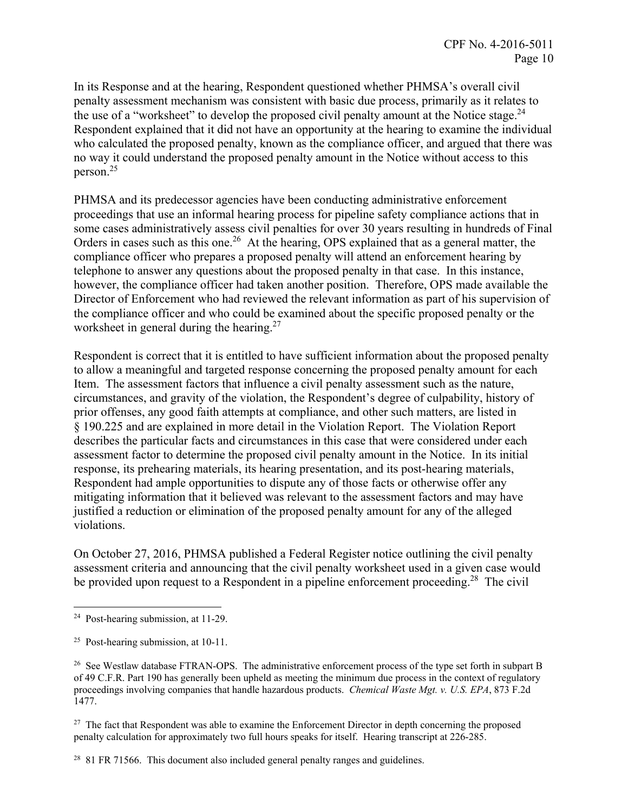the use of a "worksheet" to develop the proposed civil penalty amount at the Notice stage.<sup>24</sup> In its Response and at the hearing, Respondent questioned whether PHMSA's overall civil penalty assessment mechanism was consistent with basic due process, primarily as it relates to Respondent explained that it did not have an opportunity at the hearing to examine the individual who calculated the proposed penalty, known as the compliance officer, and argued that there was no way it could understand the proposed penalty amount in the Notice without access to this [person.25](https://person.25)

PHMSA and its predecessor agencies have been conducting administrative enforcement proceedings that use an informal hearing process for pipeline safety compliance actions that in some cases administratively assess civil penalties for over 30 years resulting in hundreds of Final Orders in cases such as this one.<sup>26</sup> At the hearing, OPS explained that as a general matter, the compliance officer who prepares a proposed penalty will attend an enforcement hearing by telephone to answer any questions about the proposed penalty in that case. In this instance, however, the compliance officer had taken another position. Therefore, OPS made available the Director of Enforcement who had reviewed the relevant information as part of his supervision of the compliance officer and who could be examined about the specific proposed penalty or the worksheet in general during the hearing.<sup>27</sup>

Respondent is correct that it is entitled to have sufficient information about the proposed penalty to allow a meaningful and targeted response concerning the proposed penalty amount for each Item. The assessment factors that influence a civil penalty assessment such as the nature, circumstances, and gravity of the violation, the Respondent's degree of culpability, history of prior offenses, any good faith attempts at compliance, and other such matters, are listed in § 190.225 and are explained in more detail in the Violation Report. The Violation Report describes the particular facts and circumstances in this case that were considered under each assessment factor to determine the proposed civil penalty amount in the Notice. In its initial response, its prehearing materials, its hearing presentation, and its post-hearing materials, Respondent had ample opportunities to dispute any of those facts or otherwise offer any mitigating information that it believed was relevant to the assessment factors and may have justified a reduction or elimination of the proposed penalty amount for any of the alleged violations.

On October 27, 2016, PHMSA published a Federal Register notice outlining the civil penalty assessment criteria and announcing that the civil penalty worksheet used in a given case would be provided upon request to a Respondent in a pipeline enforcement proceeding.<sup>28</sup> The civil

<sup>27</sup> The fact that Respondent was able to examine the Enforcement Director in depth concerning the proposed penalty calculation for approximately two full hours speaks for itself. Hearing transcript at 226-285.

 $28$  81 FR 71566. This document also included general penalty ranges and guidelines.

 $\overline{a}$ 24 Post-hearing submission, at 11-29.

<sup>&</sup>lt;sup>25</sup> Post-hearing submission, at  $10-11$ .

 proceedings involving companies that handle hazardous products. *Chemical Waste Mgt. v. U.S. EPA*, 873 F.2d <sup>26</sup> See Westlaw database FTRAN-OPS. The administrative enforcement process of the type set forth in subpart B of 49 C.F.R. Part 190 has generally been upheld as meeting the minimum due process in the context of regulatory 1477.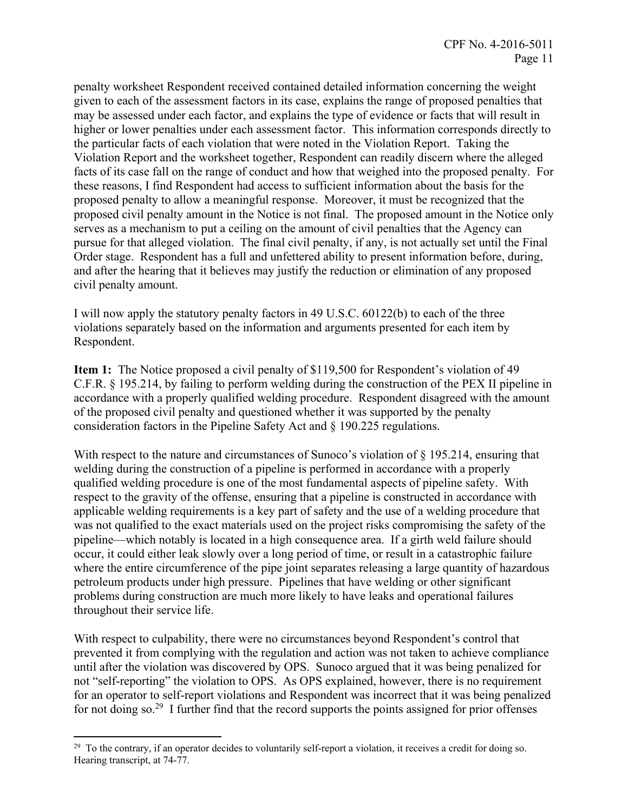penalty worksheet Respondent received contained detailed information concerning the weight given to each of the assessment factors in its case, explains the range of proposed penalties that may be assessed under each factor, and explains the type of evidence or facts that will result in higher or lower penalties under each assessment factor. This information corresponds directly to the particular facts of each violation that were noted in the Violation Report. Taking the Violation Report and the worksheet together, Respondent can readily discern where the alleged facts of its case fall on the range of conduct and how that weighed into the proposed penalty. For these reasons, I find Respondent had access to sufficient information about the basis for the proposed penalty to allow a meaningful response. Moreover, it must be recognized that the proposed civil penalty amount in the Notice is not final. The proposed amount in the Notice only serves as a mechanism to put a ceiling on the amount of civil penalties that the Agency can pursue for that alleged violation. The final civil penalty, if any, is not actually set until the Final Order stage. Respondent has a full and unfettered ability to present information before, during, and after the hearing that it believes may justify the reduction or elimination of any proposed civil penalty amount.

I will now apply the statutory penalty factors in 49 U.S.C. 60122(b) to each of the three violations separately based on the information and arguments presented for each item by Respondent.

**Item 1:** The Notice proposed a civil penalty of \$119,500 for Respondent's violation of 49 C.F.R. § 195.214, by failing to perform welding during the construction of the PEX II pipeline in accordance with a properly qualified welding procedure. Respondent disagreed with the amount of the proposed civil penalty and questioned whether it was supported by the penalty consideration factors in the Pipeline Safety Act and § 190.225 regulations.

With respect to the nature and circumstances of Sunoco's violation of  $\S 195.214$ , ensuring that welding during the construction of a pipeline is performed in accordance with a properly qualified welding procedure is one of the most fundamental aspects of pipeline safety. With respect to the gravity of the offense, ensuring that a pipeline is constructed in accordance with applicable welding requirements is a key part of safety and the use of a welding procedure that was not qualified to the exact materials used on the project risks compromising the safety of the pipeline—which notably is located in a high consequence area. If a girth weld failure should occur, it could either leak slowly over a long period of time, or result in a catastrophic failure where the entire circumference of the pipe joint separates releasing a large quantity of hazardous petroleum products under high pressure. Pipelines that have welding or other significant problems during construction are much more likely to have leaks and operational failures throughout their service life.

With respect to culpability, there were no circumstances beyond Respondent's control that prevented it from complying with the regulation and action was not taken to achieve compliance until after the violation was discovered by OPS. Sunoco argued that it was being penalized for not "self-reporting" the violation to OPS. As OPS explained, however, there is no requirement for an operator to self-report violations and Respondent was incorrect that it was being penalized for not doing so.<sup>29</sup> I further find that the record supports the points assigned for prior offenses

<sup>&</sup>lt;sup>29</sup> To the contrary, if an operator decides to voluntarily self-report a violation, it receives a credit for doing so. Hearing transcript, at 74-77.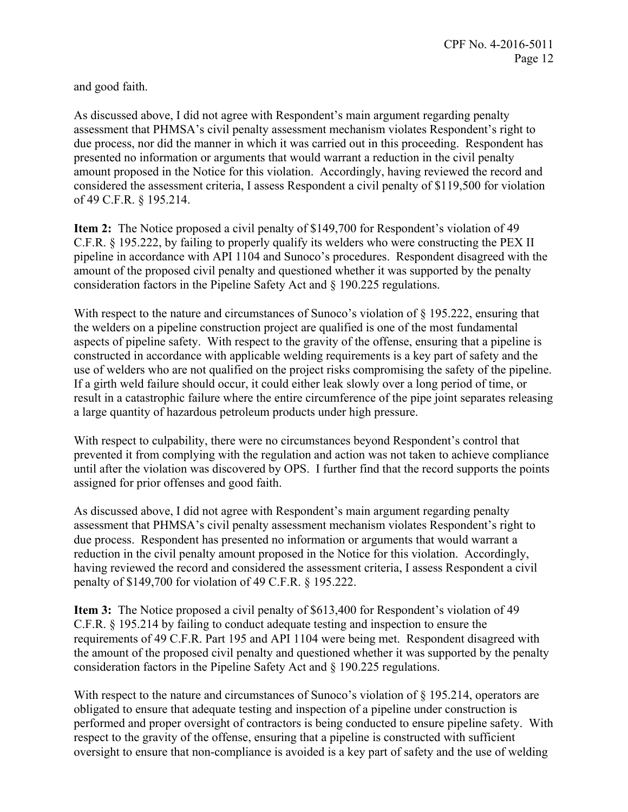and good faith.

As discussed above, I did not agree with Respondent's main argument regarding penalty assessment that PHMSA's civil penalty assessment mechanism violates Respondent's right to due process, nor did the manner in which it was carried out in this proceeding. Respondent has presented no information or arguments that would warrant a reduction in the civil penalty amount proposed in the Notice for this violation. Accordingly, having reviewed the record and considered the assessment criteria, I assess Respondent a civil penalty of \$119,500 for violation of 49 C.F.R. § 195.214.

**Item 2:** The Notice proposed a civil penalty of \$149,700 for Respondent's violation of 49 C.F.R. § 195.222, by failing to properly qualify its welders who were constructing the PEX II pipeline in accordance with API 1104 and Sunoco's procedures. Respondent disagreed with the amount of the proposed civil penalty and questioned whether it was supported by the penalty consideration factors in the Pipeline Safety Act and § 190.225 regulations.

With respect to the nature and circumstances of Sunoco's violation of § 195.222, ensuring that the welders on a pipeline construction project are qualified is one of the most fundamental aspects of pipeline safety. With respect to the gravity of the offense, ensuring that a pipeline is constructed in accordance with applicable welding requirements is a key part of safety and the use of welders who are not qualified on the project risks compromising the safety of the pipeline. If a girth weld failure should occur, it could either leak slowly over a long period of time, or result in a catastrophic failure where the entire circumference of the pipe joint separates releasing a large quantity of hazardous petroleum products under high pressure.

With respect to culpability, there were no circumstances beyond Respondent's control that prevented it from complying with the regulation and action was not taken to achieve compliance until after the violation was discovered by OPS. I further find that the record supports the points assigned for prior offenses and good faith.

As discussed above, I did not agree with Respondent's main argument regarding penalty assessment that PHMSA's civil penalty assessment mechanism violates Respondent's right to due process. Respondent has presented no information or arguments that would warrant a reduction in the civil penalty amount proposed in the Notice for this violation. Accordingly, having reviewed the record and considered the assessment criteria, I assess Respondent a civil penalty of \$149,700 for violation of 49 C.F.R. § 195.222.

**Item 3:** The Notice proposed a civil penalty of \$613,400 for Respondent's violation of 49 C.F.R. § 195.214 by failing to conduct adequate testing and inspection to ensure the requirements of 49 C.F.R. Part 195 and API 1104 were being met. Respondent disagreed with the amount of the proposed civil penalty and questioned whether it was supported by the penalty consideration factors in the Pipeline Safety Act and § 190.225 regulations.

With respect to the nature and circumstances of Sunoco's violation of  $\S 195.214$ , operators are obligated to ensure that adequate testing and inspection of a pipeline under construction is performed and proper oversight of contractors is being conducted to ensure pipeline safety. With respect to the gravity of the offense, ensuring that a pipeline is constructed with sufficient oversight to ensure that non-compliance is avoided is a key part of safety and the use of welding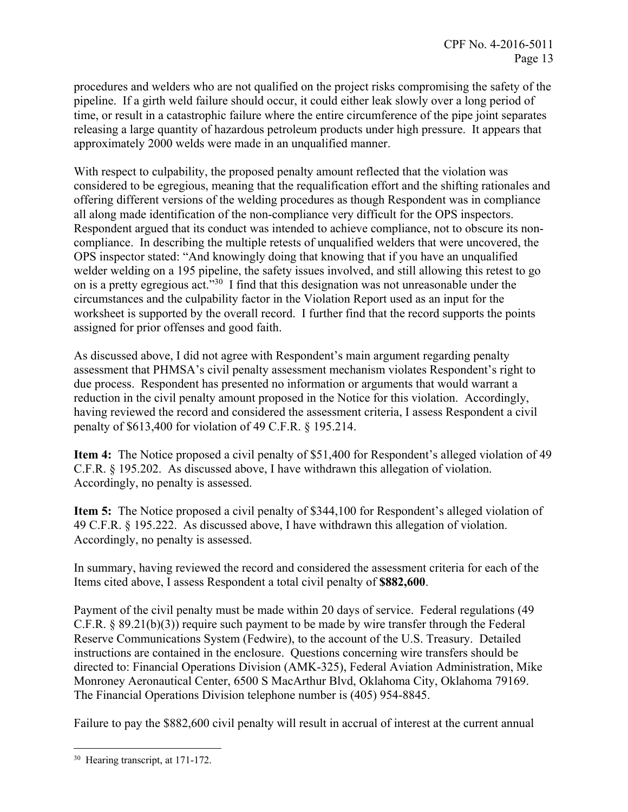procedures and welders who are not qualified on the project risks compromising the safety of the pipeline. If a girth weld failure should occur, it could either leak slowly over a long period of time, or result in a catastrophic failure where the entire circumference of the pipe joint separates releasing a large quantity of hazardous petroleum products under high pressure. It appears that approximately 2000 welds were made in an unqualified manner.

With respect to culpability, the proposed penalty amount reflected that the violation was considered to be egregious, meaning that the requalification effort and the shifting rationales and offering different versions of the welding procedures as though Respondent was in compliance all along made identification of the non-compliance very difficult for the OPS inspectors. Respondent argued that its conduct was intended to achieve compliance, not to obscure its noncompliance. In describing the multiple retests of unqualified welders that were uncovered, the OPS inspector stated: "And knowingly doing that knowing that if you have an unqualified welder welding on a 195 pipeline, the safety issues involved, and still allowing this retest to go on is a pretty egregious act."<sup>30</sup> I find that this designation was not unreasonable under the circumstances and the culpability factor in the Violation Report used as an input for the worksheet is supported by the overall record. I further find that the record supports the points assigned for prior offenses and good faith.

As discussed above, I did not agree with Respondent's main argument regarding penalty assessment that PHMSA's civil penalty assessment mechanism violates Respondent's right to due process. Respondent has presented no information or arguments that would warrant a reduction in the civil penalty amount proposed in the Notice for this violation. Accordingly, having reviewed the record and considered the assessment criteria, I assess Respondent a civil penalty of \$613,400 for violation of 49 C.F.R. § 195.214.

**Item 4:** The Notice proposed a civil penalty of \$51,400 for Respondent's alleged violation of 49 C.F.R. § 195.202. As discussed above, I have withdrawn this allegation of violation. Accordingly, no penalty is assessed.

**Item 5:** The Notice proposed a civil penalty of \$344,100 for Respondent's alleged violation of 49 C.F.R. § 195.222. As discussed above, I have withdrawn this allegation of violation. Accordingly, no penalty is assessed.

In summary, having reviewed the record and considered the assessment criteria for each of the Items cited above, I assess Respondent a total civil penalty of **\$882,600**.

Payment of the civil penalty must be made within 20 days of service. Federal regulations (49 C.F.R. § 89.21(b)(3)) require such payment to be made by wire transfer through the Federal Reserve Communications System (Fedwire), to the account of the U.S. Treasury. Detailed instructions are contained in the enclosure. Questions concerning wire transfers should be directed to: Financial Operations Division (AMK-325), Federal Aviation Administration, Mike Monroney Aeronautical Center, 6500 S MacArthur Blvd, Oklahoma City, Oklahoma 79169. The Financial Operations Division telephone number is (405) 954-8845.

Failure to pay the \$882,600 civil penalty will result in accrual of interest at the current annual

 $\overline{a}$ <sup>30</sup> Hearing transcript, at 171-172.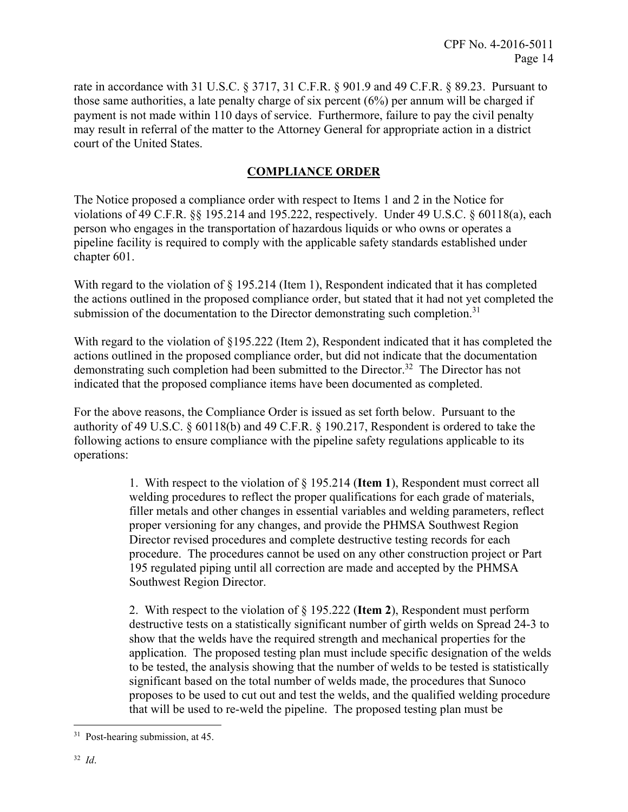rate in accordance with 31 U.S.C. § 3717, 31 C.F.R. § 901.9 and 49 C.F.R. § 89.23. Pursuant to those same authorities, a late penalty charge of six percent (6%) per annum will be charged if payment is not made within 110 days of service. Furthermore, failure to pay the civil penalty may result in referral of the matter to the Attorney General for appropriate action in a district court of the United States.

# **COMPLIANCE ORDER**

The Notice proposed a compliance order with respect to Items 1 and 2 in the Notice for violations of 49 C.F.R. §§ 195.214 and 195.222, respectively. Under 49 U.S.C. § 60118(a), each person who engages in the transportation of hazardous liquids or who owns or operates a pipeline facility is required to comply with the applicable safety standards established under chapter 601.

With regard to the violation of  $\S 195.214$  (Item 1), Respondent indicated that it has completed the actions outlined in the proposed compliance order, but stated that it had not yet completed the submission of the documentation to the Director demonstrating such completion.<sup>31</sup>

With regard to the violation of §195.222 (Item 2), Respondent indicated that it has completed the actions outlined in the proposed compliance order, but did not indicate that the documentation demonstrating such completion had been submitted to the Director.<sup>32</sup> The Director has not indicated that the proposed compliance items have been documented as completed.

For the above reasons, the Compliance Order is issued as set forth below. Pursuant to the authority of 49 U.S.C. § 60118(b) and 49 C.F.R. § 190.217, Respondent is ordered to take the following actions to ensure compliance with the pipeline safety regulations applicable to its operations:

> 1. With respect to the violation of § 195.214 (**Item 1**), Respondent must correct all welding procedures to reflect the proper qualifications for each grade of materials, filler metals and other changes in essential variables and welding parameters, reflect proper versioning for any changes, and provide the PHMSA Southwest Region Director revised procedures and complete destructive testing records for each procedure. The procedures cannot be used on any other construction project or Part 195 regulated piping until all correction are made and accepted by the PHMSA Southwest Region Director.

2. With respect to the violation of § 195.222 (**Item 2**), Respondent must perform destructive tests on a statistically significant number of girth welds on Spread 24-3 to show that the welds have the required strength and mechanical properties for the application. The proposed testing plan must include specific designation of the welds to be tested, the analysis showing that the number of welds to be tested is statistically significant based on the total number of welds made, the procedures that Sunoco proposes to be used to cut out and test the welds, and the qualified welding procedure that will be used to re-weld the pipeline. The proposed testing plan must be

 $\overline{a}$ <sup>31</sup> Post-hearing submission, at 45.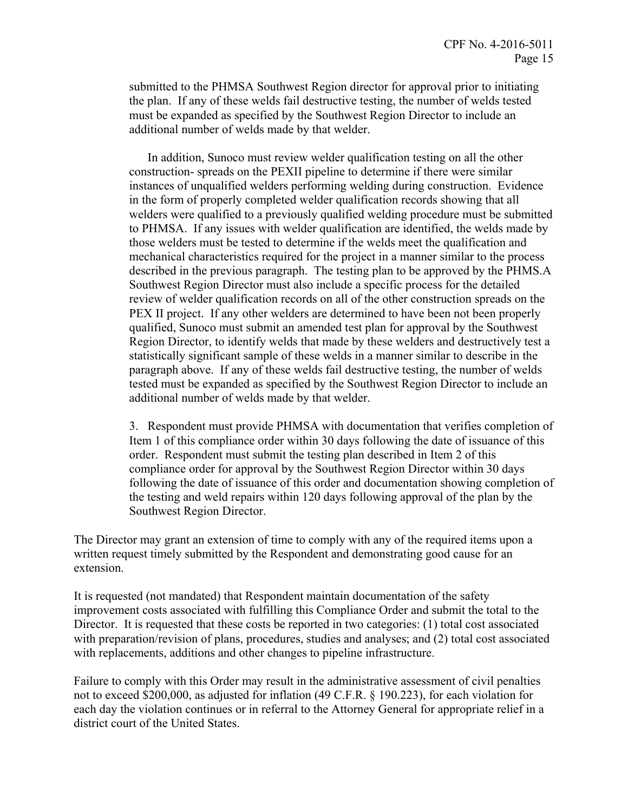submitted to the PHMSA Southwest Region director for approval prior to initiating the plan. If any of these welds fail destructive testing, the number of welds tested must be expanded as specified by the Southwest Region Director to include an additional number of welds made by that welder.

In addition, Sunoco must review welder qualification testing on all the other construction- spreads on the PEXII pipeline to determine if there were similar instances of unqualified welders performing welding during construction. Evidence in the form of properly completed welder qualification records showing that all welders were qualified to a previously qualified welding procedure must be submitted to PHMSA. If any issues with welder qualification are identified, the welds made by those welders must be tested to determine if the welds meet the qualification and mechanical characteristics required for the project in a manner similar to the process described in the previous paragraph. The testing plan to be approved by the PHMS.A Southwest Region Director must also include a specific process for the detailed review of welder qualification records on all of the other construction spreads on the PEX II project. If any other welders are determined to have been not been properly qualified, Sunoco must submit an amended test plan for approval by the Southwest Region Director, to identify welds that made by these welders and destructively test a statistically significant sample of these welds in a manner similar to describe in the paragraph above. If any of these welds fail destructive testing, the number of welds tested must be expanded as specified by the Southwest Region Director to include an additional number of welds made by that welder.

3. Respondent must provide PHMSA with documentation that verifies completion of Item 1 of this compliance order within 30 days following the date of issuance of this order. Respondent must submit the testing plan described in Item 2 of this compliance order for approval by the Southwest Region Director within 30 days following the date of issuance of this order and documentation showing completion of the testing and weld repairs within 120 days following approval of the plan by the Southwest Region Director.

The Director may grant an extension of time to comply with any of the required items upon a written request timely submitted by the Respondent and demonstrating good cause for an extension.

It is requested (not mandated) that Respondent maintain documentation of the safety improvement costs associated with fulfilling this Compliance Order and submit the total to the Director. It is requested that these costs be reported in two categories: (1) total cost associated with preparation/revision of plans, procedures, studies and analyses; and (2) total cost associated with replacements, additions and other changes to pipeline infrastructure.

Failure to comply with this Order may result in the administrative assessment of civil penalties not to exceed \$200,000, as adjusted for inflation (49 C.F.R. § 190.223), for each violation for each day the violation continues or in referral to the Attorney General for appropriate relief in a district court of the United States.